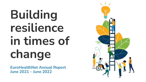# **Building resilience in times of change**

**EuroHealthNet Annual Report June 2021 – June 2022**

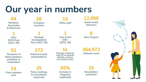### **Our year in numbers**

**64** Members, **Associates** & Observers

**1** MoU WHO Euro (2021-26)

**51**

Occasions of being speakers, panellists or moderators

**14**

sent

European countries

**28**

**1 Strategic** Development Plan (2021-26)

**272** External events participated in

**54** Strategic Meetings with EU & national officials, and key civil society actors

**15**

Office staff

**1**

Core Grant ESF+ (2022-26)

**364,972**

Website views

**12,098**

Social media followers

**8**

New Projects

**65%**  Increase in Magazine readership

**25 Newsletters** published



Press releases

**25** Policy briefings & consultation responses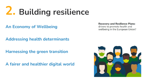### **2. Building resilience**

**An Economy of Wellbeing**

**Addressing health determinants** 

**Harnessing the green transition**

**A fairer and healthier digital world**

**Recovery and Resilience Plans:** 

drivers to promote health and wellbeing in the European Union?

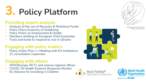## **3. Policy Platform**

#### **Providing expert analysis**

- Analysis of the use of Recovery & Resilience Funds
- Policy Précis Economy of Wellbeing
- Policy Précis on Employment & Health
- Members-briefing on European Child Guarantee
- Tools and funds to respond to war in Ukraine

#### **Engaging with policy makers**

- Policy Action Plan => Meeting with EU Institutions
- 21 consultation responses

#### **Engaging with others**

- WHO/Europe, RC71 and various regional offices
- COVID-19 Health Systems Response Monitor
- EU Alliance for Investing in Children





Drawing by by Marko Pogačnik, **UNESCO Artist for Peace** 



**World Health Drganization REGIONAL OFFICE FOR EUTODE**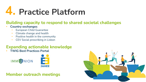### **4. Practice Platform**

#### **Building capacity to respond to shared societal challenges**

#### • **Country exchanges**

- European Child Guarantee
- Climate change and health
- Positive health in the community
- CEV Social prescribing in Lisbon

#### **Expanding actionable knowledge**

• **TWIG Best Practices Portal**





#### **Member outreach meetings**

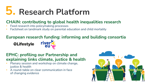### **5. Research Platform**

#### **CHAIN: contributing to global health inequalities research**

- Feed research into policymaking processes
- Factsheet on landmark study on parental education and child mortality

#### **European research funding: informing and building consortia**

**®Lifestyle** 



#### **EPHC: profiling our Partnership and explaining links climate, justice & health**

- Plenary session and workshop on climate change, justice & health
- A round-table on clear communication in face of changing evidence

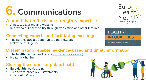## **6. Communications**

#### **A brand that reflects our strength & expertise**

- A new logo, brand and website
- Improving our accessibility through translation and other features

#### **Connecting experts and facilitating exchange**

- The EuroHealthNet Communications Network
- Network Intelligence

#### **Disseminating reliable, evidence-based and timely information**

- The health Inequalities Portal [\(www.health-inequalities.eu\)](http://www.health-inequalities.eu/)
- Health Highlights

#### **Sharing the stories of public health**

- EuroHealthNet Magazine
- 14 news releases & 23 statements
- Online AR, Video







The European Health Inequalities Portal